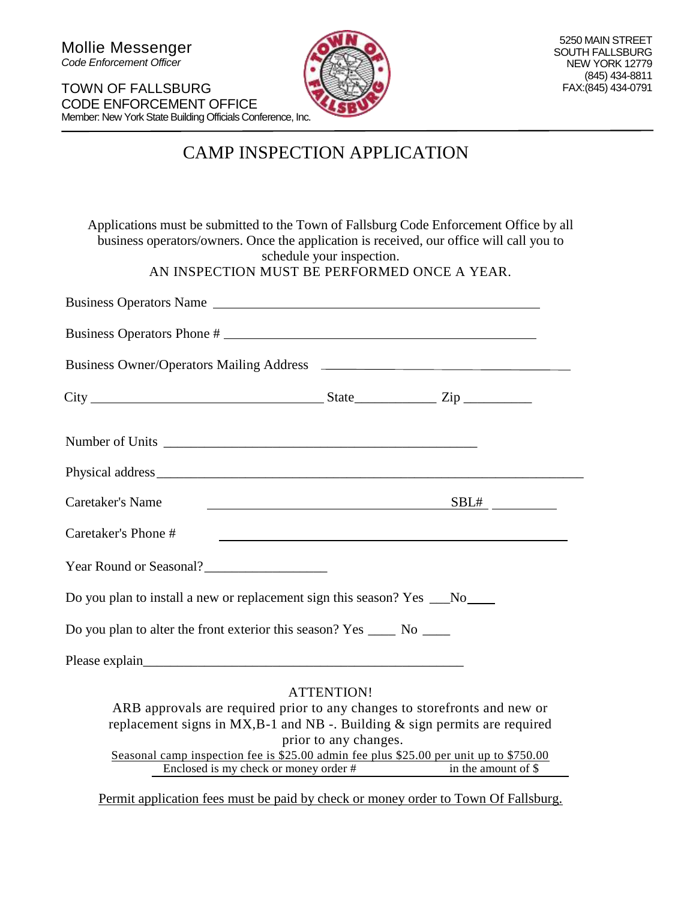TOWN OF FALLSBURG CODE ENFORCEMENT OFFICE Member: New York State Building Officials Conference, Inc.



## CAMP INSPECTION APPLICATION

| Applications must be submitted to the Town of Fallsburg Code Enforcement Office by all<br>business operators/owners. Once the application is received, our office will call you to                                                                      | schedule your inspection.                  |                                                                                                                  |
|---------------------------------------------------------------------------------------------------------------------------------------------------------------------------------------------------------------------------------------------------------|--------------------------------------------|------------------------------------------------------------------------------------------------------------------|
| AN INSPECTION MUST BE PERFORMED ONCE A YEAR.                                                                                                                                                                                                            |                                            |                                                                                                                  |
| Business Operators Name                                                                                                                                                                                                                                 |                                            |                                                                                                                  |
| Business Operators Phone #                                                                                                                                                                                                                              |                                            |                                                                                                                  |
|                                                                                                                                                                                                                                                         |                                            |                                                                                                                  |
| $City$ $City$ $Step$ $Line$                                                                                                                                                                                                                             |                                            |                                                                                                                  |
|                                                                                                                                                                                                                                                         |                                            |                                                                                                                  |
|                                                                                                                                                                                                                                                         |                                            |                                                                                                                  |
| Caretaker's Name                                                                                                                                                                                                                                        |                                            | SBL#                                                                                                             |
| Caretaker's Phone #                                                                                                                                                                                                                                     |                                            | and the control of the control of the control of the control of the control of the control of the control of the |
| Year Round or Seasonal?                                                                                                                                                                                                                                 |                                            |                                                                                                                  |
| Do you plan to install a new or replacement sign this season? Yes __No___                                                                                                                                                                               |                                            |                                                                                                                  |
| Do you plan to alter the front exterior this season? Yes ______ No _____                                                                                                                                                                                |                                            |                                                                                                                  |
|                                                                                                                                                                                                                                                         |                                            |                                                                                                                  |
| ARB approvals are required prior to any changes to storefronts and new or<br>replacement signs in $MX$ , B-1 and NB -. Building $&$ sign permits are required<br>Seasonal camp inspection fee is \$25.00 admin fee plus \$25.00 per unit up to \$750.00 | <b>ATTENTION!</b><br>prior to any changes. |                                                                                                                  |
| $\overline{\text{Enclosed}}$ is my check or money order #                                                                                                                                                                                               |                                            | in the amount of \$                                                                                              |

Permit application fees must be paid by check or money order to Town Of Fallsburg.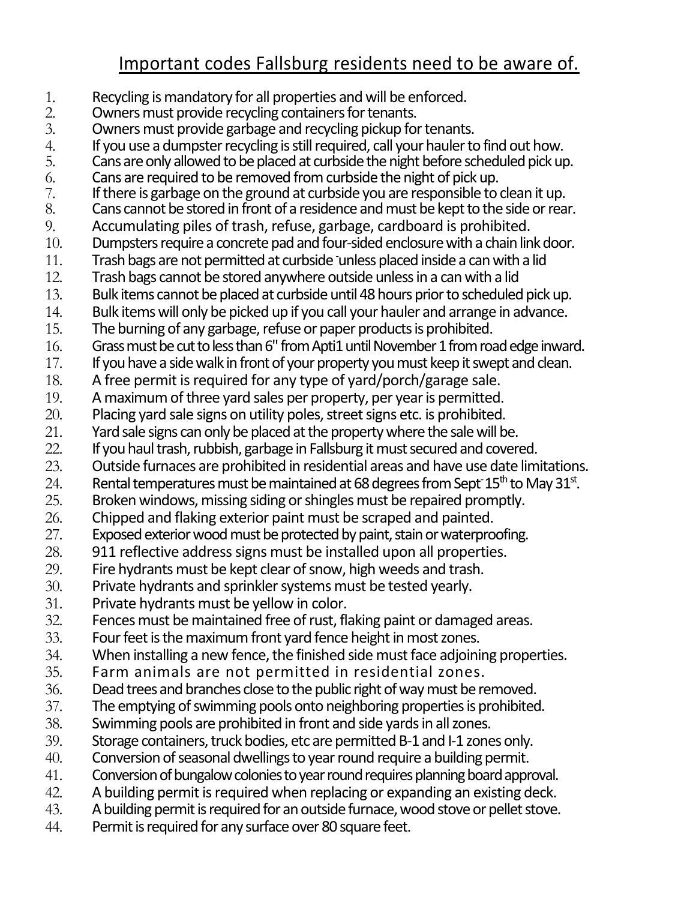## Important codes Fallsburg residents need to be aware of.

- 1. Recycling is mandatory for all properties and will be enforced.<br>2. Owners must provide recycling containers for tenants.
- 2. Owners must provide recycling containers for tenants.<br>
3. Owners must provide garbage and recycling pickup fo
- Owners must provide garbage and recycling pickup for tenants.
- 4. If you use a dumpster recycling is still required, call your hauler to find out how.<br>5. Cans are only allowed to be placed at curbside the night before scheduled pick up
- 5. Cans are only allowed to be placed at curbside the night before scheduled pick up.<br>6. Cans are required to be removed from curbside the night of pick up.
- 6. Cans are required to be removed from curbside the night of pick up.<br>  $\frac{1}{2}$  if there is garbage on the ground at curbside you are responsible to
- 7. If there is garbage on the ground at curbside you are responsible to clean it up.<br>8. Cans cannot be stored in front of a residence and must be kept to the side or rea
- 8. Cans cannot be stored in front of a residence and must be kept to the side or rear.<br>9. Cacumulating piles of trash, refuse, garbage, cardboard is prohibited.
- 9. Accumulating piles of trash, refuse, garbage, cardboard is prohibited.
- 10. Dumpsters require a concrete pad and four-sided enclosure with a chain link door.
- 11. Trash bags are not permitted at curbside -unless placed inside a can with a lid
- 12. Trash bags cannot be stored anywhere outside unless in a can with a lid
- 13. Bulk items cannot be placed at curbside until 48 hours prior to scheduled pickup.
- 14. Bulk items will only be picked up if you call your hauler and arrange in advance.
- 15. The burning of any garbage, refuse or paper products is prohibited.
- 16. Grass must be cut to less than 6" from Apti1 until November 1 from road edge inward.
- 17. If you have a side walk in front of your property you must keep it swept and clean.
- 18. A free permit is required for any type of yard/porch/garage sale.
- 19. A maximum of three yard sales per property, per year is permitted.
- 20. Placing yard sale signs on utility poles, street signs etc. is prohibited.<br>21. Yard sale signs can only be placed at the property where the sale will b
- Yard sale signs can only be placed at the property where the sale will be.
- 22. If you haul trash, rubbish, garbage in Fallsburg it must secured and covered.
- 23. Outside furnaces are prohibited in residential areas and have use date limitations.
- 24. Rental temperatures must be maintained at 68 degrees from Sept<sup>-15th</sup> to May 31<sup>st</sup>.
- 25. Broken windows, missing siding or shingles must be repaired promptly.
- 26. Chipped and flaking exterior paint must be scraped and painted.
- 27. Exposed exterior wood must be protected by paint, stain or waterproofing.
- 28. 911 reflective address signs must be installed upon all properties.
- 29. Fire hydrants must be kept clear of snow, high weeds and trash.
- 30. Private hydrants and sprinkler systems must be tested yearly.
- 31. Private hydrants must be yellow in color.
- 32. Fences must be maintained free of rust, flaking paint or damaged areas.<br>33. Four feet is the maximum front vard fence height in most zones.
- Four feet is the maximum front yard fence height in most zones.
- 34. When installing a new fence, the finished side must face adjoining properties.
- 35. Farm animals are not permitted in residential zones.
- 36. Dead trees and branches close to the public right of way must be removed.
- 37. The emptying of swimming pools onto neighboring properties is prohibited.
- 38. Swimming pools are prohibited in front and side yards in all zones.
- 39. Storage containers, truck bodies, etc are permitted B-1 and I-1 zones only.
- 40. Conversion of seasonal dwellings to year round require a building permit.
- 41. Conversion of bungalow colonies to year round requires planning board approval.
- 42. A building permit is required when replacing or expanding an existing deck.
- 43. A building permit is required for an outside furnace, wood stove or pellet stove.
- 44. Permit is required for any surface over 80 square feet.